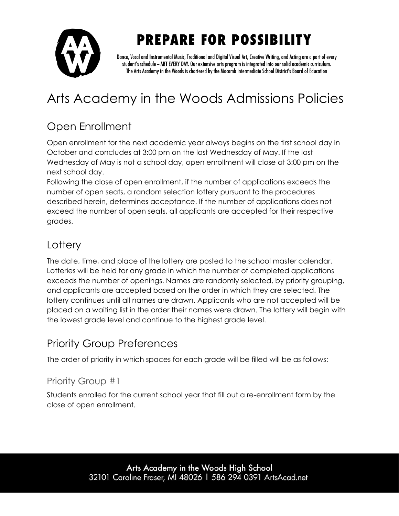

Dance, Vocal and Instrumental Music, Traditional and Digital Visual Art, Creative Writing, and Acting are a part of every student's schedule - ART EVERY DAY. Our extensive arts program is integrated into our solid academic curriculum. The Arts Academy in the Woods is chartered by the Macomb Intermediate School District's Board of Education

## Arts Academy in the Woods Admissions Policies

### Open Enrollment

Open enrollment for the next academic year always begins on the first school day in October and concludes at 3:00 pm on the last Wednesday of May. If the last Wednesday of May is not a school day, open enrollment will close at 3:00 pm on the next school day.

Following the close of open enrollment, if the number of applications exceeds the number of open seats, a random selection lottery pursuant to the procedures described herein, determines acceptance. If the number of applications does not exceed the number of open seats, all applicants are accepted for their respective grades.

### **Lottery**

The date, time, and place of the lottery are posted to the school master calendar. Lotteries will be held for any grade in which the number of completed applications exceeds the number of openings. Names are randomly selected, by priority grouping, and applicants are accepted based on the order in which they are selected. The lottery continues until all names are drawn. Applicants who are not accepted will be placed on a waiting list in the order their names were drawn. The lottery will begin with the lowest grade level and continue to the highest grade level.

### Priority Group Preferences

The order of priority in which spaces for each grade will be filled will be as follows:

#### Priority Group #1

Students enrolled for the current school year that fill out a re-enrollment form by the close of open enrollment.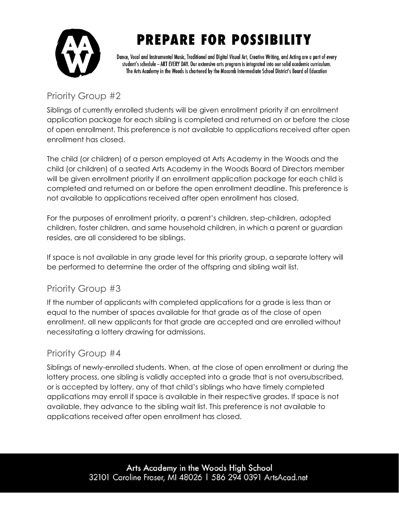

Dance, Vocal and Instrumental Music, Traditional and Digital Visual Art, Creative Writing, and Acting are a part of every student's schedule - ART EVERY DAY. Our extensive arts program is integrated into our solid academic curriculum. The Arts Academy in the Woods is chartered by the Macomb Intermediate School District's Board of Education

### Priority Group #2

Siblings of currently enrolled students will be given enrollment priority if an enrollment application package for each sibling is completed and returned on or before the close of open enrollment. This preference is not available to applications received after open enrollment has closed.

The child (or children) of a person employed at Arts Academy in the Woods and the child (or children) of a seated Arts Academy in the Woods Board of Directors member will be given enrollment priority if an enrollment application package for each child is completed and returned on or before the open enrollment deadline. This preference is not available to applications received after open enrollment has closed.

For the purposes of enrollment priority, a parent's children, step-children, adopted children, foster children, and same household children, in which a parent or guardian resides, are all considered to be siblings.

If space is not available in any grade level for this priority group, a separate lottery will be performed to determine the order of the offspring and sibling wait list.

#### Priority Group #3

If the number of applicants with completed applications for a grade is less than or equal to the number of spaces available for that grade as of the close of open enrollment, all new applicants for that grade are accepted and are enrolled without necessitating a lottery drawing for admissions.

#### Priority Group #4

Siblings of newly-enrolled students. When, at the close of open enrollment or during the lottery process, one sibling is validly accepted into a grade that is not oversubscribed, or is accepted by lottery, any of that child's siblings who have timely completed applications may enroll if space is available in their respective grades. If space is not available, they advance to the sibling wait list. This preference is not available to applications received after open enrollment has closed.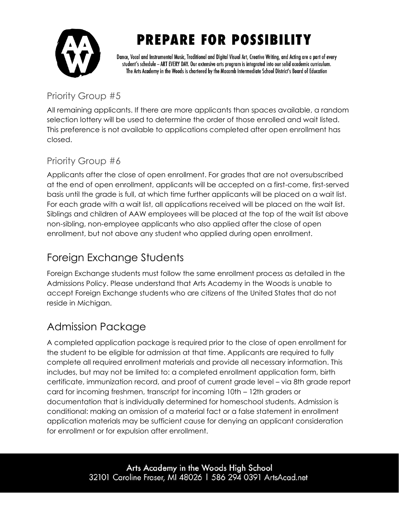

Dance, Vocal and Instrumental Music, Traditional and Digital Visual Art, Creative Writing, and Acting are a part of every student's schedule - ART EVERY DAY. Our extensive arts program is integrated into our solid academic curriculum. The Arts Academy in the Woods is chartered by the Macomb Intermediate School District's Board of Education

### Priority Group #5

All remaining applicants. If there are more applicants than spaces available, a random selection lottery will be used to determine the order of those enrolled and wait listed. This preference is not available to applications completed after open enrollment has closed.

#### Priority Group #6

Applicants after the close of open enrollment. For grades that are not oversubscribed at the end of open enrollment, applicants will be accepted on a first-come, first-served basis until the grade is full, at which time further applicants will be placed on a wait list. For each grade with a wait list, all applications received will be placed on the wait list. Siblings and children of AAW employees will be placed at the top of the wait list above non-sibling, non-employee applicants who also applied after the close of open enrollment, but not above any student who applied during open enrollment.

### Foreign Exchange Students

Foreign Exchange students must follow the same enrollment process as detailed in the Admissions Policy. Please understand that Arts Academy in the Woods is unable to accept Foreign Exchange students who are citizens of the United States that do not reside in Michigan.

## Admission Package

A completed application package is required prior to the close of open enrollment for the student to be eligible for admission at that time. Applicants are required to fully complete all required enrollment materials and provide all necessary information. This includes, but may not be limited to: a completed enrollment application form, birth certificate, immunization record, and proof of current grade level – via 8th grade report card for incoming freshmen, transcript for incoming 10th – 12th graders or documentation that is individually determined for homeschool students. Admission is conditional: making an omission of a material fact or a false statement in enrollment application materials may be sufficient cause for denying an applicant consideration for enrollment or for expulsion after enrollment.

> Arts Academy in the Woods High School 32101 Caroline Fraser, MI 48026 | 586 294 0391 ArtsAcad.net